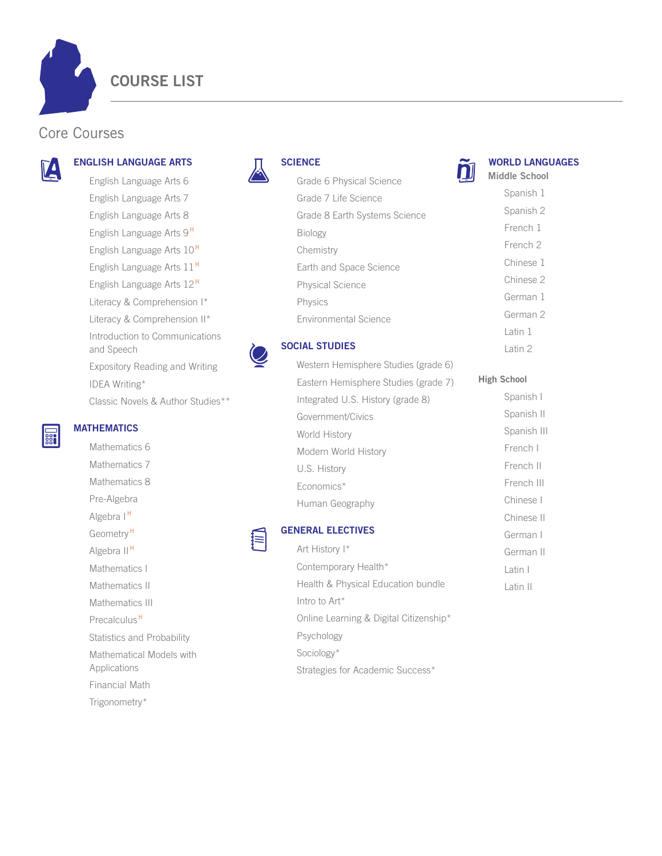**COURSE LIST** 

## Core Courses



# **ENGLISH LANGUAGE ARTS**

English Language Arts 6 English Language Arts 7 English Language Arts 8 English Language Arts 9<sup>H</sup> English Language Arts 10<sup>H</sup> English Language Arts 11<sup>H</sup> English Language Arts 12<sup>H</sup> Literacy & Comprehension I\* Literacy & Comprehension II\* Introduction to Communications and Speech Expository Reading and Writing IDEA Writing\* Classic Novels & Author Studies\*\*



#### **SCIENCE**



**WORLD LANGUAGES** 

Latin 1

Latin I

Latin II

#### **SOCIAL STUDIES**

Intro to Art\*

Psychology

Sociology\*

| <b>SOCIAL STUDIES</b>                | Latin 2            |
|--------------------------------------|--------------------|
| Western Hemisphere Studies (grade 6) |                    |
| Eastern Hemisphere Studies (grade 7) | <b>High School</b> |
| Integrated U.S. History (grade 8)    | Spanish I          |
| Government/Civics                    | Spanish II         |
| World History                        | Spanish III        |
| Modern World History                 | French I           |
| U.S. History                         | French II          |
| Economics*                           | French III         |
| Human Geography                      | Chinese I          |
|                                      | Chinese II         |
| <b>GENERAL ELECTIVES</b>             | German I           |
| Art History I*                       | German II          |
| Contemporary Health*                 | l atin I           |

Health & Physical Education bundle

Online Learning & Digital Citizenship\*

Strategies for Academic Success\*

**Filli** 

### **MATHEMATICS**

Mathematics 6 Mathematics 7 Mathematics 8 Pre-Algebra Algebra I<sup>H</sup> Geometry<sup>H</sup> Algebra II<sup>H</sup> Mathematics I Mathematics II Mathematics III Precalculus<sup>H</sup> Statistics and Probability Mathematical Models with Applications Financial Math Trigonometry\*